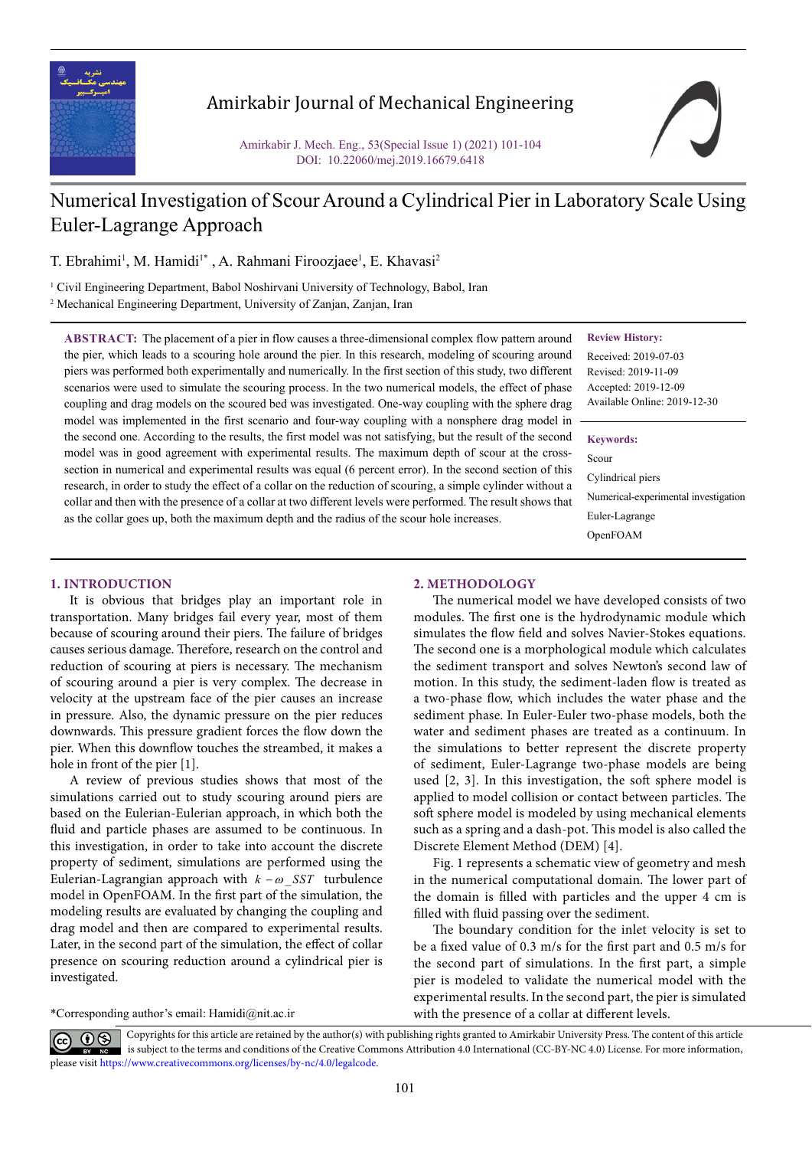

## Amirkabir Journal of Mechanical Engineering

Amirkabir J. Mech. Eng., 53(Special Issue 1) (2021) 101-104 DOI: 10.22060/mej.2019.16679.6418

# Numerical Investigation of Scour Around a Cylindrical Pier in Laboratory Scale Using Euler-Lagrange Approach

T. Ebrahimi<sup>1</sup>, M. Hamidi<sup>1</sup>\*, A. Rahmani Firoozjaee<sup>1</sup>, E. Khavasi<sup>2</sup>

<sup>1</sup> Civil Engineering Department, Babol Noshirvani University of Technology, Babol, Iran 2 Mechanical Engineering Department, University of Zanjan, Zanjan, Iran

as the collar goes up, both the maximum depth and the radius of the scour hole increases.

**ABSTRACT:** The placement of a pier in flow causes a three-dimensional complex flow pattern around the pier, which leads to a scouring hole around the pier. In this research, modeling of scouring around piers was performed both experimentally and numerically. In the first section of this study, two different scenarios were used to simulate the scouring process. In the two numerical models, the effect of phase coupling and drag models on the scoured bed was investigated. One-way coupling with the sphere drag model was implemented in the first scenario and four-way coupling with a nonsphere drag model in the second one. According to the results, the first model was not satisfying, but the result of the second model was in good agreement with experimental results. The maximum depth of scour at the crosssection in numerical and experimental results was equal (6 percent error). In the second section of this research, in order to study the effect of a collar on the reduction of scouring, a simple cylinder without a collar and then with the presence of a collar at two different levels were performed. The result shows that **Review History:**

Received: 2019-07-03 Revised: 2019-11-09 Accepted: 2019-12-09 Available Online: 2019-12-30

#### **Keywords:**

Scour Cylindrical piers Numerical-experimental investigation Euler-Lagrange OpenFOAM

### **1. INTRODUCTION**

It is obvious that bridges play an important role in transportation. Many bridges fail every year, most of them because of scouring around their piers. The failure of bridges causes serious damage. Therefore, research on the control and reduction of scouring at piers is necessary. The mechanism of scouring around a pier is very complex. The decrease in velocity at the upstream face of the pier causes an increase in pressure. Also, the dynamic pressure on the pier reduces downwards. This pressure gradient forces the flow down the pier. When this downflow touches the streambed, it makes a hole in front of the pier [1].

A review of previous studies shows that most of the simulations carried out to study scouring around piers are based on the Eulerian-Eulerian approach, in which both the fluid and particle phases are assumed to be continuous. In this investigation, in order to take into account the discrete property of sediment, simulations are performed using the Eulerian-Lagrangian approach with  $k - \omega$  SST turbulence model in OpenFOAM. In the first part of the simulation, the modeling results are evaluated by changing the coupling and drag model and then are compared to experimental results. Later, in the second part of the simulation, the effect of collar presence on scouring reduction around a cylindrical pier is investigated.

\*Corresponding author's email: Hamidi@nit.ac.ir

#### **2. METHODOLOGY**

The numerical model we have developed consists of two modules. The first one is the hydrodynamic module which simulates the flow field and solves Navier-Stokes equations. The second one is a morphological module which calculates the sediment transport and solves Newton's second law of motion. In this study, the sediment-laden flow is treated as a two-phase flow, which includes the water phase and the sediment phase. In Euler-Euler two-phase models, both the water and sediment phases are treated as a continuum. In the simulations to better represent the discrete property of sediment, Euler-Lagrange two-phase models are being used [2, 3]. In this investigation, the soft sphere model is applied to model collision or contact between particles. The soft sphere model is modeled by using mechanical elements such as a spring and a dash-pot. This model is also called the Discrete Element Method (DEM) [4].

Fig. 1 represents a schematic view of geometry and mesh in the numerical computational domain. The lower part of the domain is filled with particles and the upper 4 cm is filled with fluid passing over the sediment.

The boundary condition for the inlet velocity is set to be a fixed value of 0.3 m/s for the first part and 0.5 m/s for the second part of simulations. In the first part, a simple pier is modeled to validate the numerical model with the experimental results. In the second part, the pier is simulated with the presence of a collar at different levels.

Copyrights for this article are retained by the author(s) with publishing rights granted to Amirkabir University Press. The content of this article is subject to the terms and conditions of the Creative Commons Attribution 4.0 International (CC-BY-NC 4.0) License. For more information, please visit https://www.creativecommons.org/licenses/by-nc/4.0/legalcode.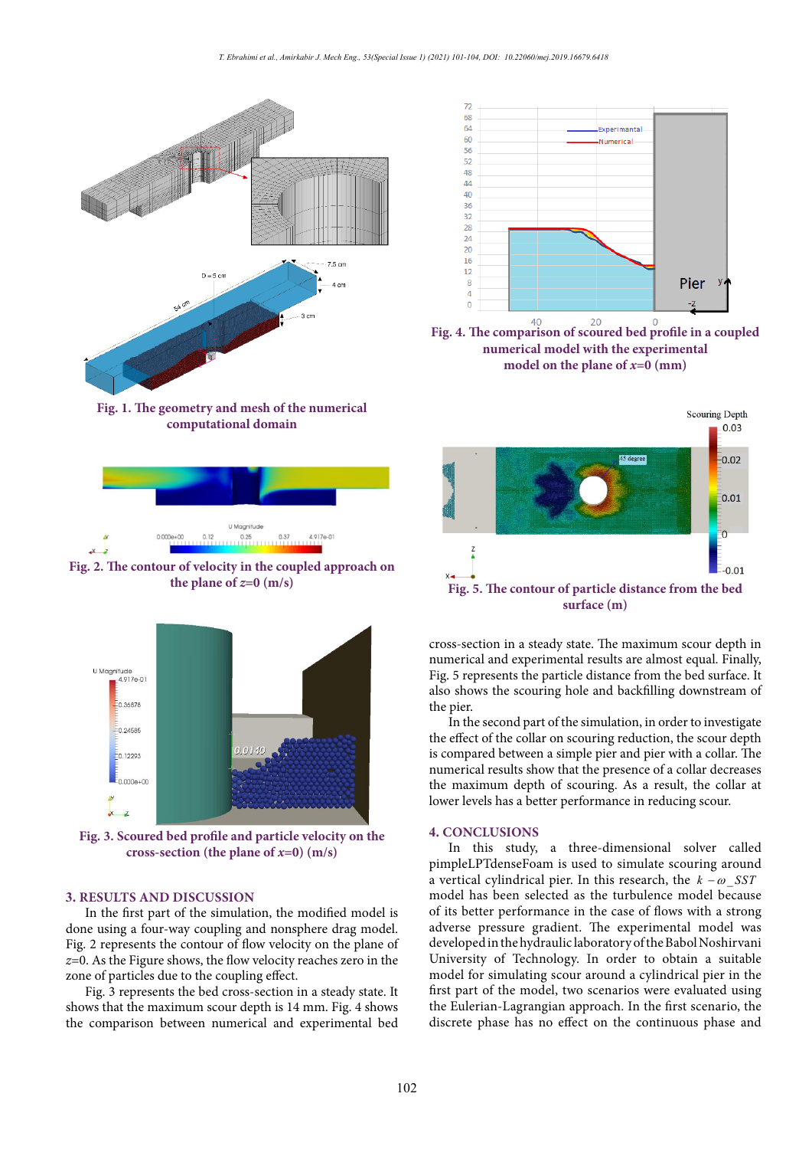

**Fig. 1. The geometry and mesh of the numerical computational domain computational domain**



**Example 2. The contour of velocity in the coupled approach on**  $x \leftrightarrow$  the plane of  $z=0$  (m/s) **Fig. 2. The contour of velocity in the coupled approach on** 



**Fig. 3. Scoured bed profile and particle velocity on the cross-section (the plane of** *x***=0) (m/s)**

## **3. RESULTS AND DISCUSSION**

In the first part of the simulation, the modified model is done using a four-way coupling and nonsphere drag model. Fig. 2 represents the contour of flow velocity on the plane of *z*=0. As the Figure shows, the flow velocity reaches zero in the zone of particles due to the coupling effect.

Fig. 3 represents the bed cross-section in a steady state. It shows that the maximum scour depth is 14 mm. Fig. 4 shows the comparison between numerical and experimental bed



**numerical model with the experimental model on the plane of** *x***=0 (mm) model on the plane of** *x***=0 (mm) Fig. 4. The comparison of scoured bed profile in a coupled** 



cross-section in a steady state. The maximum scour depth in numerical and experimental results are almost equal. Finally, Fig. 5 represents the particle distance from the bed surface. It also shows the scouring hole and backfilling downstream of the pier.

In the second part of the simulation, in order to investigate the effect of the collar on scouring reduction, the scour depth is compared between a simple pier and pier with a collar. The numerical results show that the presence of a collar decreases the maximum depth of scouring. As a result, the collar at lower levels has a better performance in reducing scour.

### **4. CONCLUSIONS**

 $\text{Im} \quad \text{the plane of } x = 0 \text{ (m/s)}$   $\text{In} \quad \text{this} \quad \text{study, a three-dimensional solver called}$ pimpleLPTdenseFoam is used to simulate scouring around a vertical cylindrical pier. In this research, the  $k - \omega$  SST model has been selected as the turbulence model because of its better performance in the case of flows with a strong adverse pressure gradient. The experimental model was developed in the hydraulic laboratory of the Babol Noshirvani University of Technology. In order to obtain a suitable model for simulating scour around a cylindrical pier in the first part of the model, two scenarios were evaluated using the Eulerian-Lagrangian approach. In the first scenario, the discrete phase has no effect on the continuous phase and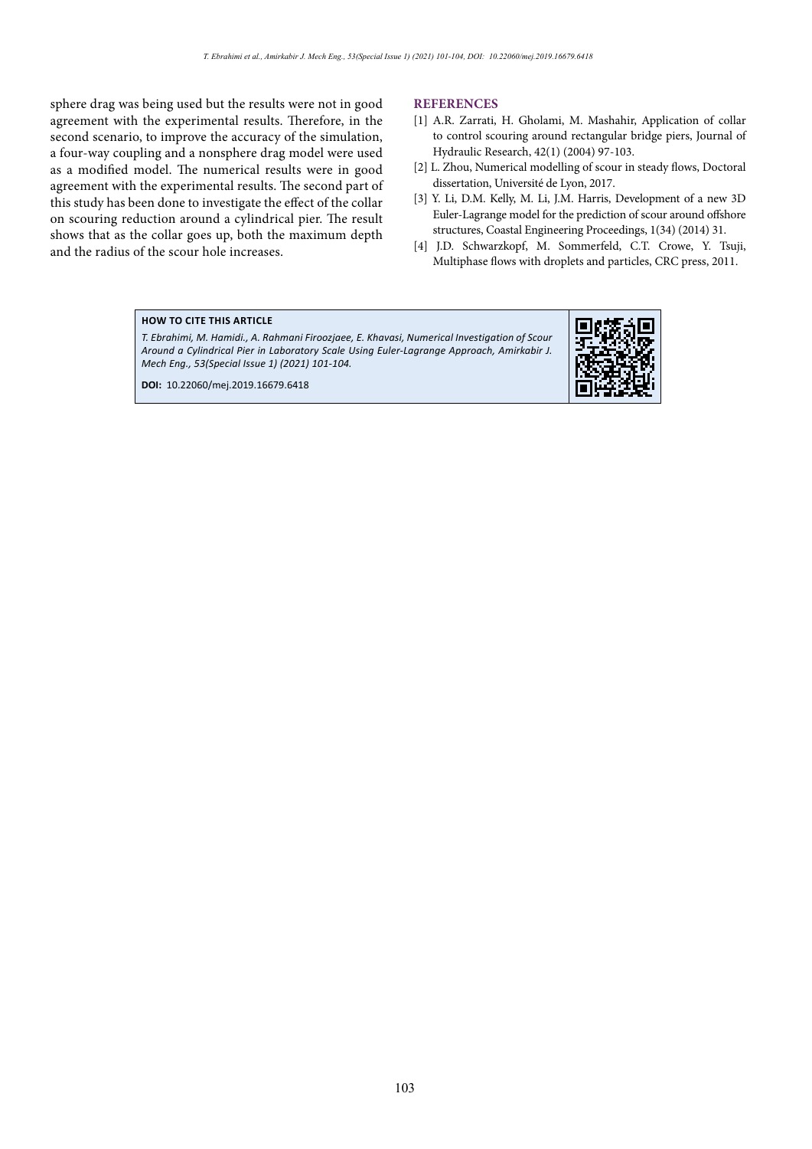sphere drag was being used but the results were not in good agreement with the experimental results. Therefore, in the second scenario, to improve the accuracy of the simulation, a four-way coupling and a nonsphere drag model were used as a modified model. The numerical results were in good agreement with the experimental results. The second part of this study has been done to investigate the effect of the collar on scouring reduction around a cylindrical pier. The result shows that as the collar goes up, both the maximum depth and the radius of the scour hole increases.

## **REFERENCES**

- [1] A.R. Zarrati, H. Gholami, M. Mashahir, Application of collar to control scouring around rectangular bridge piers, Journal of Hydraulic Research, 42(1) (2004) 97-103.
- [2] L. Zhou, Numerical modelling of scour in steady flows, Doctoral dissertation, Université de Lyon, 2017.
- [3] Y. Li, D.M. Kelly, M. Li, J.M. Harris, Development of a new 3D Euler-Lagrange model for the prediction of scour around offshore structures, Coastal Engineering Proceedings, 1(34) (2014) 31.
- [4] J.D. Schwarzkopf, M. Sommerfeld, C.T. Crowe, Y. Tsuji, Multiphase flows with droplets and particles, CRC press, 2011.

## **HOW TO CITE THIS ARTICLE**

*T. Ebrahimi, M. Hamidi., A. Rahmani Firoozjaee, E. Khavasi, Numerical Investigation of Scour Around a Cylindrical Pier in Laboratory Scale Using Euler-Lagrange Approach, Amirkabir J. Mech Eng., 53(Special Issue 1) (2021) 101-104.*

**DOI:** 10.22060/mej.2019.16679.6418